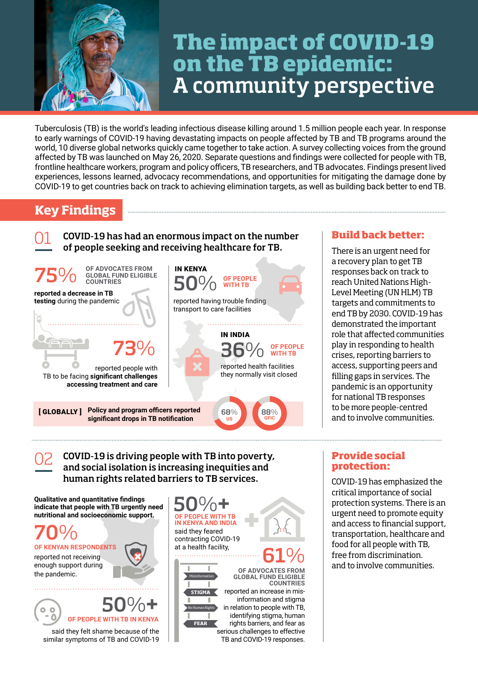

# **The impact of COVID-19 on the TB epidemic:**  A community perspective

Tuberculosis (TB) is the world's leading infectious disease killing around 1.5 million people each year. In response to early warnings of COVID-19 having devastating impacts on people affected by TB and TB programs around the world, 10 diverse global networks quickly came together to take action. A survey collecting voices from the ground affected by TB was launched on May 26, 2020. Separate questions and findings were collected for people with TB, frontline healthcare workers, program and policy officers, TB researchers, and TB advocates. Findings present lived experiences, lessons learned, advocacy recommendations, and opportunities for mitigating the damage done by COVID-19 to get countries back on track to achieving elimination targets, as well as building back better to end TB.

## **Key Findings**

COVID-19 has had an enormous impact on the number of people seeking and receiving healthcare for TB. 01 **Build back better:**



### COVID-19 is driving people with TB into poverty, and social isolation is increasing inequities and human rights related barriers to TB services. 02

**Qualitative and quantitative findings indicate that people with TB urgently need nutritional and socioeconomic support.**

70%

**KENYAN RESPONDENTS** reported not receiving enough support during the pandemic.





said they felt shame because of the similar symptoms of TB and COVID-19 50%**+ OF PEOPLE WITH TB IN KENYA AND INDIA** said they feared contracting COVID-19 at a health facility, . . . . . . . . . . . . . . ш ш **OF ADVOCATES FROM GLOBAL FUND ELIGIBLE**  Misinformation

**STIGMA**

ш ш

reported an increase in misinformation and stigma in relation to people with TB, identifying stigma, human rights barriers, and fear as serious challenges to effective TB and COVID-19 responses. **COUNTRIES** No Human Rights **FEAR**

61%

There is an urgent need for a recovery plan to get TB responses back on track to reach United Nations High-Level Meeting (UN HLM) TB targets and commitments to end TB by 2030. COVID-19 has demonstrated the important role that affected communities play in responding to health crises, reporting barriers to access, supporting peers and filling gaps in services. The pandemic is an opportunity for national TB responses to be more people-centred and to involve communities.

## **Provide social protection:**

COVID-19 has emphasized the critical importance of social protection systems. There is an urgent need to promote equity and access to financial support, transportation, healthcare and food for all people with TB, free from discrimination. and to involve communities.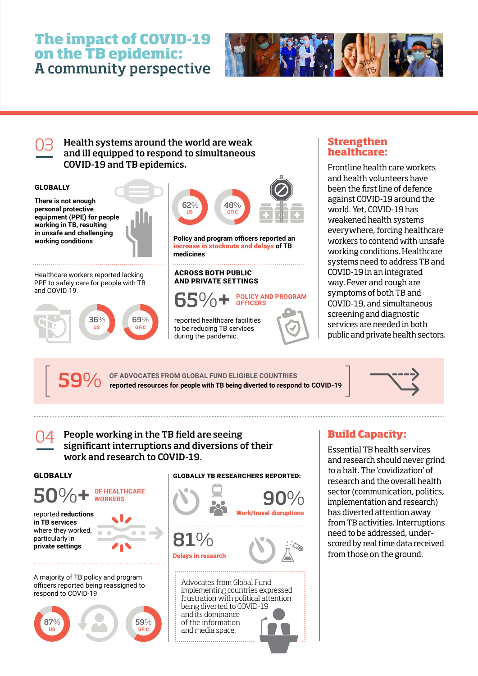## **The impact of COVID-19 on the TB epidemic:**  A community perspective



Health systems around the world are weak 03 **Strengthen**  and ill equipped to respond to simultaneous COVID-19 and TB epidemics.



# **healthcare:**

Frontline health care workers and health volunteers have been the first line of defence against COVID-19 around the world. Yet, COVID-19 has weakened health systems everywhere, forcing healthcare workers to contend with unsafe working conditions. Healthcare systems need to address TB and COVID-19 in an integrated way. Fever and cough are symptoms of both TB and COVID-19, and simultaneous screening and diagnostic services are needed in both public and private health sectors.

59% **OF ADVOCATES FROM GLOBAL FUND ELIGIBLE COUNTRIES reported resources for people with TB being diverted to respond to COVID-19 59** O/O OF ADVOCATES FROM GLOBAL FUND ELIGIBLE COUNTRIES<br>**59** O/O reported resources for people with TB being diverted to respond to COVID-19



## People working in the TB field are seeing 04 **Build Capacity:** significant interruptions and diversions of their work and research to COVID-19.

## GLOBALLY



GLOBALLY TB RESEARCHERS REPORTED:



Essential TB health services and research should never grind to a halt. The 'covidization' of research and the overall health sector (communication, politics, implementation and research) has diverted attention away from TB activities. Interruptions need to be addressed, underscored by real time data received from those on the ground.